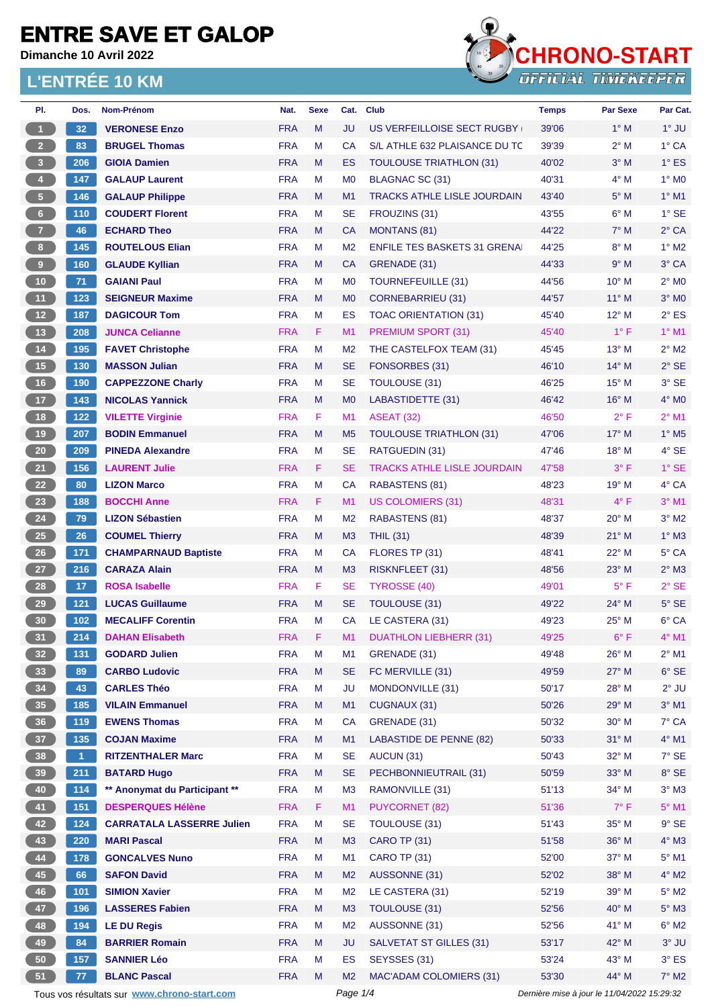**Dimanche 10 Avril 2022**

#### **L'ENTRÉE 10 KM**



| PI.                     | Dos.  | Nom-Prénom                                     | Nat.                     | <b>Sexe</b> | Cat.           | <b>Club</b>                            | <b>Temps</b> | <b>Par Sexe</b> | Par Cat.                  |
|-------------------------|-------|------------------------------------------------|--------------------------|-------------|----------------|----------------------------------------|--------------|-----------------|---------------------------|
| $\overline{1}$          | 32    | <b>VERONESE Enzo</b>                           | <b>FRA</b>               | M           | JU             | US VERFEILLOISE SECT RUGBY             | 39'06        | $1^\circ$ M     | $1^\circ$ JU              |
| $\overline{2}$          | 83    | <b>BRUGEL Thomas</b>                           | <b>FRA</b>               | M           | <b>CA</b>      | S/L ATHLE 632 PLAISANCE DU TC          | 39'39        | $2^{\circ}$ M   | $1^\circ$ CA              |
| $\overline{\mathbf{3}}$ | 206   | <b>GIOIA Damien</b>                            | <b>FRA</b>               | M           | <b>ES</b>      | <b>TOULOUSE TRIATHLON (31)</b>         | 40'02        | $3^\circ$ M     | $1^\circ$ ES              |
| $\bullet$               | 147   | <b>GALAUP Laurent</b>                          | <b>FRA</b>               | M           | M <sub>0</sub> | BLAGNAC SC (31)                        | 40'31        | $4^\circ$ M     | $1^\circ$ MO              |
| $\sqrt{5}$              | 146   | <b>GALAUP Philippe</b>                         | <b>FRA</b>               | M           | M1             | <b>TRACKS ATHLE LISLE JOURDAIN</b>     | 43'40        | $5^\circ$ M     | $1°$ M1                   |
| $6\phantom{.}6$         | 110   | <b>COUDERT Florent</b>                         | <b>FRA</b>               | M           | <b>SE</b>      | FROUZINS (31)                          | 43'55        | $6^\circ$ M     | $1^\circ$ SE              |
| $\overline{7}$          | 46    | <b>ECHARD Theo</b>                             | <b>FRA</b>               | M           | <b>CA</b>      | <b>MONTANS (81)</b>                    | 44'22        | $7^\circ$ M     | $2°$ CA                   |
| $\bf 8$                 | 145   | <b>ROUTELOUS Elian</b>                         | <b>FRA</b>               | M           | M <sub>2</sub> | <b>ENFILE TES BASKETS 31 GRENAI</b>    | 44'25        | $8^\circ$ M     | $1^\circ$ M2              |
| $\overline{9}$          | 160   | <b>GLAUDE Kyllian</b>                          | <b>FRA</b>               | M           | <b>CA</b>      | GRENADE (31)                           | 44'33        | 9° M            | 3° CA                     |
| 10                      | 71    | <b>GAIANI Paul</b>                             | <b>FRA</b>               | M           | M <sub>0</sub> | <b>TOURNEFEUILLE (31)</b>              | 44'56        | $10^{\circ}$ M  | $2^{\circ}$ MO            |
| 11                      | 123   | <b>SEIGNEUR Maxime</b>                         | <b>FRA</b>               | M           | M <sub>0</sub> | <b>CORNEBARRIEU (31)</b>               | 44'57        | 11° M           | $3°$ MO                   |
| 12 <sup>7</sup>         | 187   | <b>DAGICOUR Tom</b>                            | <b>FRA</b>               | M           | ES             | <b>TOAC ORIENTATION (31)</b>           | 45'40        | $12^{\circ}$ M  | $2^{\circ}$ ES            |
| 13                      | 208   | <b>JUNCA Celianne</b>                          | <b>FRA</b>               | F.          | M1             | <b>PREMIUM SPORT (31)</b>              | 45'40        | $1^{\circ}$ F   | $1°$ M1                   |
| 14                      | 195   | <b>FAVET Christophe</b>                        | <b>FRA</b>               | M           | M <sub>2</sub> | THE CASTELFOX TEAM (31)                | 45'45        | 13° M           | $2^{\circ}$ M2            |
| 15                      | 130   | <b>MASSON Julian</b>                           | <b>FRA</b>               | M           | <b>SE</b>      | FONSORBES (31)                         | 46'10        | $14^{\circ}$ M  | $2°$ SE                   |
| 16                      | 190   | <b>CAPPEZZONE Charly</b>                       | <b>FRA</b>               | M           | SE             | TOULOUSE (31)                          | 46'25        | $15^{\circ}$ M  | 3° SE                     |
| 17                      | 143   | <b>NICOLAS Yannick</b>                         | <b>FRA</b>               | M           | M <sub>0</sub> | LABASTIDETTE (31)                      | 46'42        | $16^{\circ}$ M  | $4^\circ$ MO              |
| 18                      | $122$ | <b>VILETTE Virginie</b>                        | <b>FRA</b>               | F.          | M1             | <b>ASEAT (32)</b>                      | 46'50        | $2^{\circ}$ F   | $2°$ M1                   |
| 19                      | 207   | <b>BODIN Emmanuel</b>                          | <b>FRA</b>               | M           | M <sub>5</sub> | <b>TOULOUSE TRIATHLON (31)</b>         | 47'06        | 17° M           | $1^\circ$ M <sub>5</sub>  |
| 20                      | 209   | <b>PINEDA Alexandre</b>                        | <b>FRA</b>               | M           | SE             | RATGUEDIN (31)                         | 47'46        | 18° M           | $4^\circ$ SE              |
| 21                      | 156   | <b>LAURENT Julie</b>                           | <b>FRA</b>               | F.          | <b>SE</b>      | <b>TRACKS ATHLE LISLE JOURDAIN</b>     | 47'58        | $3^{\circ}$ F   | $1^\circ$ SE              |
| 22                      | 80    | <b>LIZON Marco</b>                             | <b>FRA</b>               | M           | <b>CA</b>      | RABASTENS (81)                         | 48'23        | 19° M           | 4° CA                     |
| 23                      | 188   | <b>BOCCHI Anne</b>                             | <b>FRA</b>               | F.          | M1             | <b>US COLOMIERS (31)</b>               | 48'31        | $4^{\circ}$ F   | $3°$ M1                   |
| 24                      | 79    | <b>LIZON Sébastien</b>                         | <b>FRA</b>               | M           | M <sub>2</sub> | <b>RABASTENS (81)</b>                  | 48'37        | 20° M           | $3°$ M2                   |
| 25                      | 26    | <b>COUMEL Thierry</b>                          | <b>FRA</b>               | M           | M3             | <b>THIL (31)</b>                       | 48'39        | $21^{\circ}$ M  | $1^\circ$ M3              |
| 26                      | 171   | <b>CHAMPARNAUD Baptiste</b>                    | <b>FRA</b>               | M           | CA             | FLORES TP (31)                         | 48'41        | 22° M           | 5° CA                     |
| 27                      | 216   | <b>CARAZA Alain</b>                            | <b>FRA</b>               | M           | M <sub>3</sub> | RISKNFLEET (31)                        | 48'56        | $23^\circ$ M    | $2^{\circ}$ M3            |
| 28                      | 17    | <b>ROSA Isabelle</b>                           | <b>FRA</b>               | F.          | <b>SE</b>      | TYROSSE (40)                           | 49'01        | $5^{\circ}$ F   | $2°$ SE                   |
| 29                      | $121$ | <b>LUCAS Guillaume</b>                         | <b>FRA</b>               | M           | <b>SE</b>      | TOULOUSE (31)                          | 49'22        | $24^{\circ}$ M  | $5^\circ$ SE              |
| 30                      | 102   | <b>MECALIFF Corentin</b>                       | <b>FRA</b>               | M           | CA             | LE CASTERA (31)                        | 49'23        | 25° M           | 6° CA                     |
| 31                      | 214   |                                                | <b>FRA</b>               | F.          | M <sub>1</sub> |                                        | 49'25        | $6^{\circ}$ F   | $4^{\circ}$ M1            |
|                         | 131   | <b>DAHAN Elisabeth</b><br><b>GODARD Julien</b> | <b>FRA</b>               | M           |                | DUATHLON LIEBHERR (31)<br>GRENADE (31) | 49'48        | $26^{\circ}$ M  | $2^{\circ}$ M1            |
| 32 <sub>2</sub><br>33   |       | <b>CARBO Ludovic</b>                           |                          |             | M1             |                                        |              |                 |                           |
|                         | 89    |                                                | <b>FRA</b>               | M           | <b>SE</b>      | FC MERVILLE (31)<br>MONDONVILLE (31)   | 49'59        | 27° M           | $6°$ SE                   |
| 34                      | 43    | <b>CARLES Théo</b>                             | <b>FRA</b><br><b>FRA</b> | M<br>M      | JU<br>M1       |                                        | 50'17        | 28° M<br>29° M  | $2^{\circ}$ JU<br>$3°$ M1 |
| 35                      | 185   | <b>VILAIN Emmanuel</b>                         |                          |             |                | CUGNAUX (31)                           | 50'26        |                 |                           |
| 36                      | 119   | <b>EWENS Thomas</b>                            | <b>FRA</b>               | M           | <b>CA</b>      | GRENADE (31)                           | 50'32        | 30° M           | 7° CA                     |
| 37 <sup>°</sup>         | 135   | <b>COJAN Maxime</b>                            | <b>FRA</b>               | M           | M1             | <b>LABASTIDE DE PENNE (82)</b>         | 50'33        | $31^\circ$ M    | $4^\circ$ M1              |
| 38                      | $1 -$ | <b>RITZENTHALER Marc</b>                       | <b>FRA</b>               | M           | <b>SE</b>      | AUCUN (31)                             | 50'43        | 32° M           | $7^\circ$ SE              |
| 39                      | 211   | <b>BATARD Hugo</b>                             | <b>FRA</b>               | M           | <b>SE</b>      | PECHBONNIEUTRAIL (31)                  | 50'59        | 33° M           | $8^\circ$ SE              |
| 40                      | 114   | ** Anonymat du Participant **                  | <b>FRA</b>               | M           | M3             | RAMONVILLE (31)                        | 51'13        | 34° M           | $3^\circ$ M3              |
| 41                      | 151   | <b>DESPERQUES Hélène</b>                       | <b>FRA</b>               | F           | M1             | <b>PUYCORNET (82)</b>                  | 51'36        | $7^\circ$ F     | $5^\circ$ M1              |
| 42                      | 124   | <b>CARRATALA LASSERRE Julien</b>               | <b>FRA</b>               | M           | <b>SE</b>      | TOULOUSE (31)                          | 51'43        | 35° M           | $9°$ SE                   |
| 43                      | 220   | <b>MARI Pascal</b>                             | <b>FRA</b>               | M           | M3             | CARO TP (31)                           | 51'58        | 36° M           | $4^\circ$ M3              |
| 44                      | 178   | <b>GONCALVES Nuno</b>                          | <b>FRA</b>               | M           | M1             | <b>CARO TP (31)</b>                    | 52'00        | 37° M           | $5^\circ$ M1              |
| 45                      | 66    | <b>SAFON David</b>                             | <b>FRA</b>               | M           | M <sub>2</sub> | AUSSONNE (31)                          | 52'02        | 38° M           | $4^\circ$ M2              |
| 46                      | 101   | <b>SIMION Xavier</b>                           | <b>FRA</b>               | M           | M <sub>2</sub> | LE CASTERA (31)                        | 52'19        | 39° M           | $5^\circ$ M2              |
| 47                      | 196   | <b>LASSERES Fabien</b>                         | <b>FRA</b>               | M           | M3             | TOULOUSE (31)                          | 52'56        | 40° M           | $5^\circ$ M3              |
| 48                      | 194   | <b>LE DU Regis</b>                             | <b>FRA</b>               | M           | M <sub>2</sub> | AUSSONNE (31)                          | 52'56        | 41° M           | $6^\circ$ M2              |
| 49                      | 84    | <b>BARRIER Romain</b>                          | <b>FRA</b>               | M           | <b>JU</b>      | <b>SALVETAT ST GILLES (31)</b>         | 53'17        | 42° M           | $3^\circ$ JU              |
| 50                      | 157   | <b>SANNIER Léo</b>                             | <b>FRA</b>               | M           | <b>ES</b>      | SEYSSES (31)                           | 53'24        | 43° M           | $3^\circ$ ES              |
| 51                      | 77    | <b>BLANC Pascal</b>                            | <b>FRA</b>               | M           | M <sub>2</sub> | <b>MAC'ADAM COLOMIERS (31)</b>         | 53'30        | 44° M           | $7^\circ$ M2              |
|                         |       |                                                |                          |             |                |                                        |              |                 |                           |

Tous vos résultats sur **[www.chrono-start.com](https://www.chrono-start.com/)** Page 1/4 Page 1/4 Dernière mise à jour le 11/04/2022 15:29:32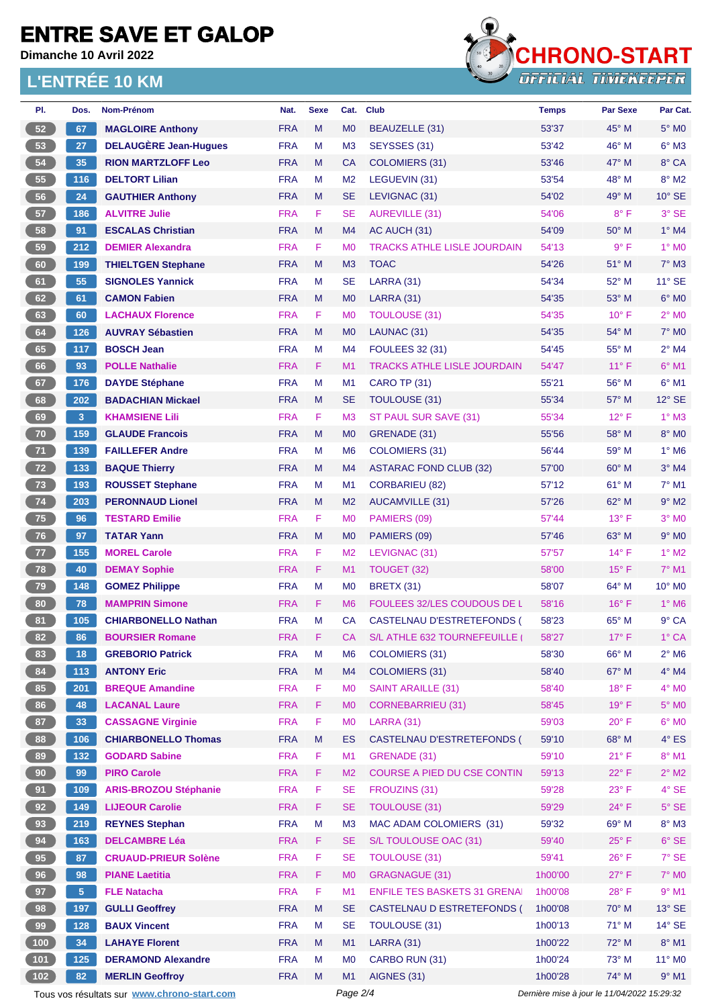**Dimanche 10 Avril 2022**

#### **L'ENTRÉE 10 KM**



| PI.             | Dos.           | Nom-Prénom                                  | Nat.       | <b>Sexe</b> | Cat.           | <b>Club</b>                         | <b>Temps</b>                                | Par Sexe       | Par Cat.                 |
|-----------------|----------------|---------------------------------------------|------------|-------------|----------------|-------------------------------------|---------------------------------------------|----------------|--------------------------|
| 52              | 67             | <b>MAGLOIRE Anthony</b>                     | <b>FRA</b> | M           | M <sub>0</sub> | BEAUZELLE (31)                      | 53'37                                       | 45° M          | $5^\circ$ MO             |
| 53              | 27             | <b>DELAUGÈRE Jean-Hugues</b>                | <b>FRA</b> | M           | M <sub>3</sub> | SEYSSES (31)                        | 53'42                                       | 46° M          | $6^\circ$ M3             |
| 54              | 35             | <b>RION MARTZLOFF Leo</b>                   | <b>FRA</b> | M           | <b>CA</b>      | <b>COLOMIERS (31)</b>               | 53'46                                       | 47° M          | 8° CA                    |
| 55              | 116            | <b>DELTORT Lilian</b>                       | <b>FRA</b> | M           | M <sub>2</sub> | LEGUEVIN (31)                       | 53'54                                       | 48° M          | $8^\circ$ M2             |
| 56              | 24             | <b>GAUTHIER Anthony</b>                     | <b>FRA</b> | M           | <b>SE</b>      | LEVIGNAC (31)                       | 54'02                                       | 49° M          | $10^{\circ}$ SE          |
| 57              | 186            | <b>ALVITRE Julie</b>                        | <b>FRA</b> | F           | <b>SE</b>      | <b>AUREVILLE (31)</b>               | 54'06                                       | $8^{\circ}$ F  | 3° SE                    |
| 58              | 91             | <b>ESCALAS Christian</b>                    | <b>FRA</b> | M           | M4             | AC AUCH (31)                        | 54'09                                       | $50^\circ$ M   | $1^\circ$ M4             |
| 59              | 212            | <b>DEMIER Alexandra</b>                     | <b>FRA</b> | F           | M <sub>0</sub> | <b>TRACKS ATHLE LISLE JOURDAIN</b>  | 54'13                                       | 9° F           | 1° MO                    |
| 60              | 199            | <b>THIELTGEN Stephane</b>                   | <b>FRA</b> | M           | M <sub>3</sub> | <b>TOAC</b>                         | 54'26                                       | 51° M          | $7^\circ$ M3             |
| 61              | 55             | <b>SIGNOLES Yannick</b>                     | <b>FRA</b> | M           | <b>SE</b>      | LARRA (31)                          | 54'34                                       | 52° M          | 11° SE                   |
| 62              | 61             | <b>CAMON Fabien</b>                         | <b>FRA</b> | M           | M <sub>0</sub> | <b>LARRA (31)</b>                   | 54'35                                       | $53^\circ$ M   | $6°$ MO                  |
| 63              | 60             | <b>LACHAUX Florence</b>                     | <b>FRA</b> | F           | M <sub>0</sub> | <b>TOULOUSE (31)</b>                | 54'35                                       | $10^{\circ}$ F | $2^{\circ}$ MO           |
| 64              | 126            | <b>AUVRAY Sébastien</b>                     | <b>FRA</b> | M           | M <sub>0</sub> | LAUNAC (31)                         | 54'35                                       | 54° M          | <b>7° MO</b>             |
| 65              | 117            | <b>BOSCH Jean</b>                           | <b>FRA</b> | M           | M4             | <b>FOULEES 32 (31)</b>              | 54'45                                       | 55° M          | $2^{\circ}$ M4           |
| 66              | 93             | <b>POLLE Nathalie</b>                       | <b>FRA</b> | F           | M <sub>1</sub> | <b>TRACKS ATHLE LISLE JOURDAIN</b>  | 54'47                                       | $11^{\circ}$ F | $6^\circ$ M1             |
| 67              | 176            | <b>DAYDE Stéphane</b>                       | <b>FRA</b> | M           | M <sub>1</sub> | <b>CARO TP (31)</b>                 | 55'21                                       | 56° M          | $6°$ M1                  |
| 68              | 202            | <b>BADACHIAN Mickael</b>                    | <b>FRA</b> | M           | <b>SE</b>      | <b>TOULOUSE (31)</b>                | 55'34                                       | 57° M          | $12^{\circ}$ SE          |
| 69              | 3              | <b>KHAMSIENE Lili</b>                       | <b>FRA</b> | F           | M <sub>3</sub> | ST PAUL SUR SAVE (31)               | 55'34                                       | $12^{\circ}$ F | $1^\circ$ M3             |
| 70              | 159            | <b>GLAUDE Francois</b>                      | <b>FRA</b> | M           | M <sub>0</sub> | GRENADE (31)                        | 55'56                                       | 58° M          | 8° MO                    |
|                 |                |                                             | <b>FRA</b> |             |                |                                     |                                             | 59° M          |                          |
| $71$            | 139            | <b>FAILLEFER Andre</b>                      |            | М           | M <sub>6</sub> | COLOMIERS (31)                      | 56'44                                       |                | $1^\circ$ M <sub>6</sub> |
| 72              | 133            | <b>BAQUE Thierry</b>                        | <b>FRA</b> | M           | M4             | <b>ASTARAC FOND CLUB (32)</b>       | 57'00                                       | 60° M          | $3°$ M4                  |
| 73              | 193            | <b>ROUSSET Stephane</b>                     | <b>FRA</b> | M           | M1             | <b>CORBARIEU (82)</b>               | 57'12                                       | 61° M          | $7^\circ$ M1             |
| 74              | 203            | <b>PERONNAUD Lionel</b>                     | <b>FRA</b> | M           | M <sub>2</sub> | <b>AUCAMVILLE (31)</b>              | 57'26                                       | 62° M          | $9°$ M2                  |
| 75              | 96             | <b>TESTARD Emilie</b>                       | <b>FRA</b> | F           | M <sub>0</sub> | PAMIERS (09)                        | 57'44                                       | 13°F           | $3°$ MO                  |
| 76              | 97             | <b>TATAR Yann</b>                           | <b>FRA</b> | M           | M <sub>0</sub> | PAMIERS (09)                        | 57'46                                       | $63^\circ$ M   | $9°$ MO                  |
| 77              | 155            | <b>MOREL Carole</b>                         | <b>FRA</b> | F           | M <sub>2</sub> | LEVIGNAC (31)                       | 57'57                                       | $14^{\circ}$ F | $1^\circ$ M2             |
| 78              | 40             | <b>DEMAY Sophie</b>                         | <b>FRA</b> | F           | M1             | TOUGET (32)                         | 58'00                                       | $15^{\circ}$ F | 7° M1                    |
| 79              | 148            | <b>GOMEZ Philippe</b>                       | <b>FRA</b> | M           | M <sub>0</sub> | <b>BRETX (31)</b>                   | 58'07                                       | 64° M          | 10° M0                   |
| 80              | 78             | <b>MAMPRIN Simone</b>                       | <b>FRA</b> | F           | M <sub>6</sub> | FOULEES 32/LES COUDOUS DE L         | 58'16                                       | $16^{\circ}$ F | $1^\circ$ M6             |
| 81              | 105            | <b>CHIARBONELLO Nathan</b>                  | <b>FRA</b> | M           | <b>CA</b>      | <b>CASTELNAU D'ESTRETEFONDS (</b>   | 58'23                                       | 65° M          | 9° CA                    |
| 82              | 86             | <b>BOURSIER Romane</b>                      | <b>FRA</b> | F           | CA             | S/L ATHLE 632 TOURNEFEUILLE         | 58'27                                       | $17^{\circ}$ F | 1° CA                    |
| 83              | 18             | <b>GREBORIO Patrick</b>                     | <b>FRA</b> | M           | M <sub>6</sub> | <b>COLOMIERS (31)</b>               | 58'30                                       | 66° M          | $2^{\circ}$ M6           |
| 84              | 113            | <b>ANTONY Eric</b>                          | <b>FRA</b> | M           | M4             | <b>COLOMIERS (31)</b>               | 58'40                                       | 67° M          | $4^\circ$ M4             |
| 85              | 201            | <b>BREQUE Amandine</b>                      | <b>FRA</b> | F           | M <sub>0</sub> | <b>SAINT ARAILLE (31)</b>           | 58'40                                       | $18^{\circ}$ F | $4^\circ$ MO             |
| 86              | 48             | <b>LACANAL Laure</b>                        | <b>FRA</b> | F           | M <sub>0</sub> | <b>CORNEBARRIEU (31)</b>            | 58'45                                       | 19°F           | $5^\circ$ MO             |
| 87              | 33             | <b>CASSAGNE Virginie</b>                    | <b>FRA</b> | F           | M <sub>0</sub> | <b>LARRA (31)</b>                   | 59'03                                       | $20^{\circ}$ F | $6^\circ$ MO             |
| 88              | 106            | <b>CHIARBONELLO Thomas</b>                  | <b>FRA</b> | M           | <b>ES</b>      | CASTELNAU D'ESTRETEFONDS (          | 59'10                                       | 68° M          | $4^\circ$ ES             |
| 89              | 132            | <b>GODARD Sabine</b>                        | <b>FRA</b> | F           | M1             | GRENADE (31)                        | 59'10                                       | $21^{\circ}$ F | $8^\circ$ M1             |
| 90 <sub>o</sub> | 99             | <b>PIRO Carole</b>                          | <b>FRA</b> | F           | M <sub>2</sub> | COURSE A PIED DU CSE CONTIN         | 59'13                                       | $22^{\circ}$ F | $2^{\circ}$ M2           |
| 91              | 109            | <b>ARIS-BROZOU Stéphanie</b>                | <b>FRA</b> | F           | <b>SE</b>      | FROUZINS (31)                       | 59'28                                       | $23^{\circ}$ F | $4^\circ$ SE             |
| 92              | 149            | <b>LIJEOUR Carolie</b>                      | <b>FRA</b> | F           | <b>SE</b>      | <b>TOULOUSE (31)</b>                | 59'29                                       | 24°F           | $5^{\circ}$ SE           |
| 93              | 219            | <b>REYNES Stephan</b>                       | <b>FRA</b> | M           | M <sub>3</sub> | MAC ADAM COLOMIERS (31)             | 59'32                                       | 69° M          | 8° M3                    |
| 94              | 163            | <b>DELCAMBRE Léa</b>                        | <b>FRA</b> | F.          | <b>SE</b>      | S/L TOULOUSE OAC (31)               | 59'40                                       | $25^{\circ}$ F | $6°$ SE                  |
| 95              | 87             | <b>CRUAUD-PRIEUR Solène</b>                 | <b>FRA</b> | F           | <b>SE</b>      | <b>TOULOUSE (31)</b>                | 59'41                                       | $26^{\circ}$ F | 7° SE                    |
| $96\,$          | 98             | <b>PIANE Laetitia</b>                       | <b>FRA</b> | F           | M <sub>0</sub> | <b>GRAGNAGUE (31)</b>               | 1h00'00                                     | $27^{\circ}$ F | <b>7° MO</b>             |
| 97              | 5 <sub>5</sub> | <b>FLE Natacha</b>                          | <b>FRA</b> | F           | M1             | <b>ENFILE TES BASKETS 31 GRENAI</b> | 1h00'08                                     | 28°F           | $9°$ M1                  |
| 98              | 197            | <b>GULLI Geoffrey</b>                       | <b>FRA</b> | M           | <b>SE</b>      | CASTELNAU D ESTRETEFONDS (          | 1h00'08                                     | 70° M          | $13^\circ$ SE            |
| 99              | 128            | <b>BAUX Vincent</b>                         | <b>FRA</b> | М           | <b>SE</b>      | <b>TOULOUSE (31)</b>                | 1h00'13                                     | 71° M          | $14^\circ$ SE            |
| $100$           | 34             | <b>LAHAYE Florent</b>                       | <b>FRA</b> | M           | M1             | LARRA (31)                          | 1h00'22                                     | 72° M          | 8° M1                    |
| $101$           | 125            | <b>DERAMOND Alexandre</b>                   | <b>FRA</b> | М           | M <sub>0</sub> | CARBO RUN (31)                      | 1h00'24                                     | 73° M          | 11° MO                   |
| 102             | 82             | <b>MERLIN Geoffroy</b>                      | <b>FRA</b> | M           | M1             | AIGNES (31)                         | 1h00'28                                     | 74° M          | $9°$ M1                  |
|                 |                | Tous vos résultats sur www.chrono-start.com |            |             | Page 2/4       |                                     | Dernière mise à jour le 11/04/2022 15:29:32 |                |                          |
|                 |                |                                             |            |             |                |                                     |                                             |                |                          |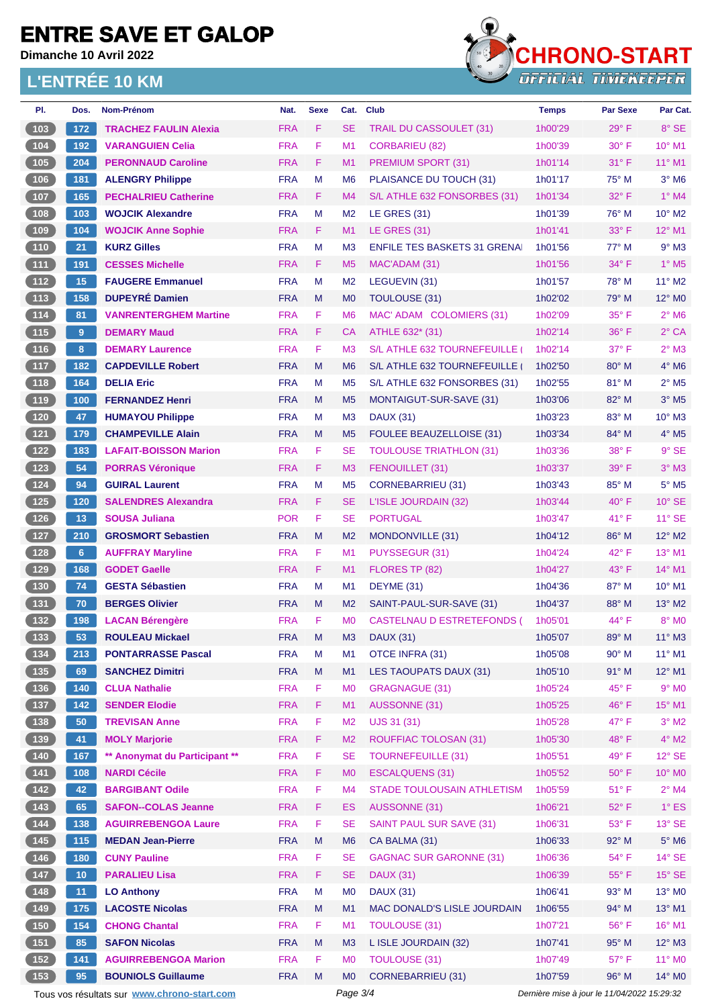**Dimanche 10 Avril 2022**

#### **L'ENTRÉE 10 KM**



| PI.                                                 | Dos.            | Nom-Prénom                                  | Nat.                     | <b>Sexe</b>                                 | Cat.                        | <b>Club</b>                          | <b>Temps</b>       | <b>Par Sexe</b>                | Par Cat.                    |
|-----------------------------------------------------|-----------------|---------------------------------------------|--------------------------|---------------------------------------------|-----------------------------|--------------------------------------|--------------------|--------------------------------|-----------------------------|
| (103)                                               | 172             | <b>TRACHEZ FAULIN Alexia</b>                | <b>FRA</b>               | F                                           | <b>SE</b>                   | TRAIL DU CASSOULET (31)              | 1h00'29            | $29^\circ$ F                   | $8^\circ$ SE                |
| $\begin{array}{c} \hline 104 \end{array}$           | 192             | <b>VARANGUIEN Celia</b>                     | <b>FRA</b>               | F                                           | M1                          | <b>CORBARIEU (82)</b>                | 1h00'39            | $30^\circ$ F                   | $10^{\circ}$ M <sub>1</sub> |
| 105                                                 | 204             | <b>PERONNAUD Caroline</b>                   | <b>FRA</b>               | F.                                          | M <sub>1</sub>              | <b>PREMIUM SPORT (31)</b>            | 1h01'14            | $31^\circ$ F                   | 11° M1                      |
| 106                                                 | 181             | <b>ALENGRY Philippe</b>                     | <b>FRA</b>               | M                                           | M <sub>6</sub>              | PLAISANCE DU TOUCH (31)              | 1h01'17            | $75^{\circ}$ M                 | $3^\circ$ M <sub>6</sub>    |
| 107                                                 | 165             | <b>PECHALRIEU Catherine</b>                 | <b>FRA</b>               | F                                           | M4                          | S/L ATHLE 632 FONSORBES (31)         | 1h01'34            | $32^{\circ}$ F                 | $1^\circ$ M4                |
| $108$                                               | 103             | <b>WOJCIK Alexandre</b>                     | <b>FRA</b>               | M                                           | M <sub>2</sub>              | <b>LE GRES (31)</b>                  | 1h01'39            | 76° M                          | $10^{\circ}$ M <sub>2</sub> |
| (109)                                               | 104             | <b>WOJCIK Anne Sophie</b>                   | <b>FRA</b>               | F                                           | M <sub>1</sub>              | <b>LE GRES (31)</b>                  | 1h01'41            | $33^\circ$ F                   | $12^{\circ}$ M1             |
| $\begin{array}{c} \hline 110 \\ \hline \end{array}$ | 21              | <b>KURZ Gilles</b>                          | <b>FRA</b>               | M                                           | M <sub>3</sub>              | <b>ENFILE TES BASKETS 31 GRENAL</b>  | 1h01'56            | $77^\circ$ M                   | $9°$ M3                     |
| (111)                                               | 191             | <b>CESSES Michelle</b>                      | <b>FRA</b>               | F.                                          | M <sub>5</sub>              | MAC'ADAM (31)                        | 1h01'56            | $34^{\circ}$ F                 | $1^\circ$ M <sub>5</sub>    |
| $112$                                               | 15              | <b>FAUGERE Emmanuel</b>                     | <b>FRA</b>               | M                                           | M <sub>2</sub>              | LEGUEVIN (31)                        | 1h01'57            | $78^\circ$ M                   | $11^{\circ}$ M2             |
| (113)                                               | 158             | <b>DUPEYRÉ Damien</b>                       | <b>FRA</b>               | M                                           | M <sub>0</sub>              | TOULOUSE (31)                        | 1h02'02            | $79^\circ$ M                   | 12° M0                      |
| (114)                                               | 81              | <b>VANRENTERGHEM Martine</b>                | <b>FRA</b>               | F                                           | M <sub>6</sub>              | MAC' ADAM COLOMIERS (31)             | 1h02'09            | $35^{\circ}$ F                 | $2^{\circ}$ M <sub>6</sub>  |
| (115)                                               | 9               | <b>DEMARY Maud</b>                          | <b>FRA</b>               | F                                           | <b>CA</b>                   | ATHLE 632* (31)                      | 1h02'14            | 36° F                          | $2°$ CA                     |
| $116$                                               | 8               | <b>DEMARY Laurence</b>                      | <b>FRA</b>               | F                                           | M <sub>3</sub>              | S/L ATHLE 632 TOURNEFEUILLE          | 1h02'14            | 37° F                          | $2^{\circ}$ M3              |
| (117)                                               | 182             | <b>CAPDEVILLE Robert</b>                    | <b>FRA</b>               | M                                           | M <sub>6</sub>              | S/L ATHLE 632 TOURNEFEUILLE          | 1h02'50            | $80^\circ$ M                   | $4^\circ$ M6                |
| (118)                                               | 164             | <b>DELIA Eric</b>                           | <b>FRA</b>               | M                                           | M <sub>5</sub>              | S/L ATHLE 632 FONSORBES (31)         | 1h02'55            | $81^\circ$ M                   | $2^{\circ}$ M <sub>5</sub>  |
| (119)                                               | 100             | <b>FERNANDEZ Henri</b>                      | <b>FRA</b>               | M                                           | M <sub>5</sub>              | MONTAIGUT-SUR-SAVE (31)              | 1h03'06            | $82^{\circ}$ M                 | $3°$ M <sub>5</sub>         |
| $120$                                               | 47              | <b>HUMAYOU Philippe</b>                     | <b>FRA</b>               | м                                           | M <sub>3</sub>              | <b>DAUX (31)</b>                     | 1h03'23            | 83° M                          | $10^{\circ}$ M3             |
| (121)                                               | 179             | <b>CHAMPEVILLE Alain</b>                    | <b>FRA</b>               | M                                           | M <sub>5</sub>              | <b>FOULEE BEAUZELLOISE (31)</b>      | 1h03'34            | $84^\circ$ M                   | $4^\circ$ M <sub>5</sub>    |
| $\boxed{122}$                                       | 183             | <b>LAFAIT-BOISSON Marion</b>                | <b>FRA</b>               | F                                           | <b>SE</b>                   | <b>TOULOUSE TRIATHLON (31)</b>       | 1h03'36            | 38° F                          | $9°$ SE                     |
| (123)                                               | 54              | <b>PORRAS Véronique</b>                     | <b>FRA</b>               | F                                           | M <sub>3</sub>              | FENOUILLET (31)                      | 1h03'37            | $39^\circ$ F                   | $3°$ M $3$                  |
| $124$                                               | 94              | <b>GUIRAL Laurent</b>                       | <b>FRA</b>               | M                                           | M <sub>5</sub>              | <b>CORNEBARRIEU (31)</b>             | 1h03'43            | 85° M                          | $5^\circ$ M5                |
| $\overline{125}$                                    | 120             | <b>SALENDRES Alexandra</b>                  | <b>FRA</b>               | F.                                          | <b>SE</b>                   | L'ISLE JOURDAIN (32)                 | 1h03'44            | $40^{\circ}$ F                 | $10^{\circ}$ SE             |
| $126$                                               | 13              | <b>SOUSA Juliana</b>                        | <b>POR</b>               | F                                           | <b>SE</b>                   | <b>PORTUGAL</b>                      | 1h03'47            | 41°F                           | $11^\circ$ SE               |
| 127                                                 | 210             | <b>GROSMORT Sebastien</b>                   | <b>FRA</b>               | M                                           | M <sub>2</sub>              | MONDONVILLE (31)                     | 1h04'12            | $86^\circ$ M                   | $12^{\circ}$ M2             |
| 128                                                 | 6               | <b>AUFFRAY Maryline</b>                     | <b>FRA</b>               | F                                           | M <sub>1</sub>              | PUYSSEGUR (31)                       | 1h04'24            | 42° F                          | 13° M1                      |
| (129)                                               | 168             | <b>GODET Gaelle</b>                         | <b>FRA</b>               | F                                           | M <sub>1</sub>              | FLORES TP (82)                       | 1h04'27            | $43^{\circ}$ F                 | 14° M1                      |
| 130                                                 | 74              | <b>GESTA Sébastien</b>                      | <b>FRA</b>               | M                                           | M <sub>1</sub>              | DEYME (31)                           | 1h04'36            | 87° M                          | $10^{\circ}$ M1             |
| (131)                                               | 70              | <b>BERGES Olivier</b>                       | <b>FRA</b>               | M                                           | M <sub>2</sub>              | SAINT-PAUL-SUR-SAVE (31)             | 1h04'37            | $88^\circ$ M                   | 13° M2                      |
| $132$                                               | 198             | <b>LACAN Bérengère</b>                      | <b>FRA</b>               | F                                           | M <sub>0</sub>              | CASTELNAU D ESTRETEFONDS (           | 1h05'01            | 44° F                          | 8° MO                       |
| (133)                                               | 53              | <b>ROULEAU Mickael</b>                      | <b>FRA</b>               | M                                           | M <sub>3</sub>              | <b>DAUX (31)</b>                     | 1h05'07            | 89° M                          | 11° M3                      |
| $\begin{bmatrix} 134 \end{bmatrix}$                 | 213             | <b>PONTARRASSE Pascal</b>                   | <b>FRA</b>               | M                                           | M <sub>1</sub>              | <b>OTCE INFRA (31)</b>               | 1h05'08            | $90^\circ$ M                   | $11^{\circ}$ M1             |
| (135)                                               | 69              | <b>SANCHEZ Dimitri</b>                      | <b>FRA</b>               | M                                           | M1                          | LES TAOUPATS DAUX (31)               | 1h05'10            | $91^\circ$ M                   | $12^{\circ}$ M1             |
| $\begin{array}{c} \n \text{136}\n \end{array}$      | 140             | <b>CLUA Nathalie</b>                        | <b>FRA</b>               | F                                           | M <sub>0</sub>              | <b>GRAGNAGUE (31)</b>                | 1h05'24            | 45°F                           | $9°$ MO                     |
| (137)                                               | 142             | <b>SENDER Elodie</b>                        | <b>FRA</b>               | F                                           | M1                          | AUSSONNE (31)                        | 1h05'25            | 46°F                           | 15° M1                      |
| $\begin{array}{c} \n \textbf{138}\n \end{array}$    | 50              | <b>TREVISAN Anne</b>                        | <b>FRA</b>               | F                                           | M <sub>2</sub>              | UJS 31 (31)                          | 1h05'28            | 47° F                          | $3^\circ$ M2                |
| (139)                                               | 41              | <b>MOLY Marjorie</b>                        | <b>FRA</b>               | F                                           | M <sub>2</sub>              | <b>ROUFFIAC TOLOSAN (31)</b>         | 1h05'30            | 48°F                           | $4^\circ$ M2                |
| $140$                                               | 167             | ** Anonymat du Participant **               | <b>FRA</b>               | F                                           | <b>SE</b>                   | <b>TOURNEFEUILLE (31)</b>            | 1h05'51            | 49°F                           | $12^{\circ}$ SE             |
| (141)                                               | 108             | <b>NARDI Cécile</b>                         | <b>FRA</b>               | F.                                          | M <sub>0</sub>              | <b>ESCALQUENS (31)</b>               | 1h05'52            | $50^\circ$ F                   | 10° M0                      |
| $142$                                               | 42              | <b>BARGIBANT Odile</b>                      | <b>FRA</b>               | F                                           | M4                          | <b>STADE TOULOUSAIN ATHLETISM</b>    | 1h05'59            | $51^{\circ}$ F                 | $2^{\circ}$ M4              |
| (143)                                               | 65              | <b>SAFON--COLAS Jeanne</b>                  | <b>FRA</b>               | F.                                          | <b>ES</b>                   | AUSSONNE (31)                        | 1h06'21            | $52^{\circ}$ F                 | $1^\circ$ ES                |
|                                                     | 138             | <b>AGUIRREBENGOA Laure</b>                  | <b>FRA</b>               | F                                           | <b>SE</b>                   | <b>SAINT PAUL SUR SAVE (31)</b>      | 1h06'31            | 53° F                          | 13° SE                      |
| (145)                                               | 115             | <b>MEDAN Jean-Pierre</b>                    | <b>FRA</b>               | M                                           | M <sub>6</sub>              | CA BALMA (31)                        | 1h06'33            | 92° M                          | $5^\circ$ M6                |
| $146$                                               |                 | <b>CUNY Pauline</b>                         | <b>FRA</b>               | F                                           | <b>SE</b>                   | <b>GAGNAC SUR GARONNE (31)</b>       | 1h06'36            | 54°F                           | $14^\circ$ SE               |
|                                                     | 180             |                                             |                          |                                             |                             |                                      |                    |                                |                             |
| (147)                                               | 10 <sub>1</sub> | <b>PARALIEU Lisa</b>                        | <b>FRA</b><br><b>FRA</b> | F<br>M                                      | <b>SE</b><br>M <sub>0</sub> | <b>DAUX (31)</b><br><b>DAUX (31)</b> | 1h06'39<br>1h06'41 | $55^{\circ}$ F<br>$93^\circ$ M | $15^\circ$ SE<br>13° MO     |
| $148$                                               | 11              | <b>LO Anthony</b>                           |                          |                                             |                             |                                      |                    |                                |                             |
| (149)                                               | 175             | <b>LACOSTE Nicolas</b>                      | <b>FRA</b>               | M                                           | M <sub>1</sub>              | MAC DONALD'S LISLE JOURDAIN          | 1h06'55            | 94° M                          | 13° M1                      |
| $150$                                               | 154             | <b>CHONG Chantal</b>                        | <b>FRA</b>               | F                                           | M1                          | <b>TOULOUSE (31)</b>                 | 1h07'21            | 56°F                           | 16° M1                      |
| (151)                                               | 85              | <b>SAFON Nicolas</b>                        | <b>FRA</b>               | M                                           | M <sub>3</sub>              | L ISLE JOURDAIN (32)                 | 1h07'41            | 95° M                          | $12^{\circ}$ M3             |
| $152$                                               | 141             | <b>AGUIRREBENGOA Marion</b>                 | <b>FRA</b>               | F                                           | M <sub>0</sub>              | <b>TOULOUSE (31)</b>                 | 1h07'49            | $57^\circ$ F                   | 11° M0                      |
| 153                                                 | 95              | <b>BOUNIOLS Guillaume</b>                   | <b>FRA</b>               | M                                           | MO<br>Page 3/4              | <b>CORNEBARRIEU (31)</b>             | 1h07'59            | 96° M                          | 14° M0                      |
|                                                     |                 | Tous vos résultats sur www.chrono-start.com |                          | Dernière mise à jour le 11/04/2022 15:29:32 |                             |                                      |                    |                                |                             |